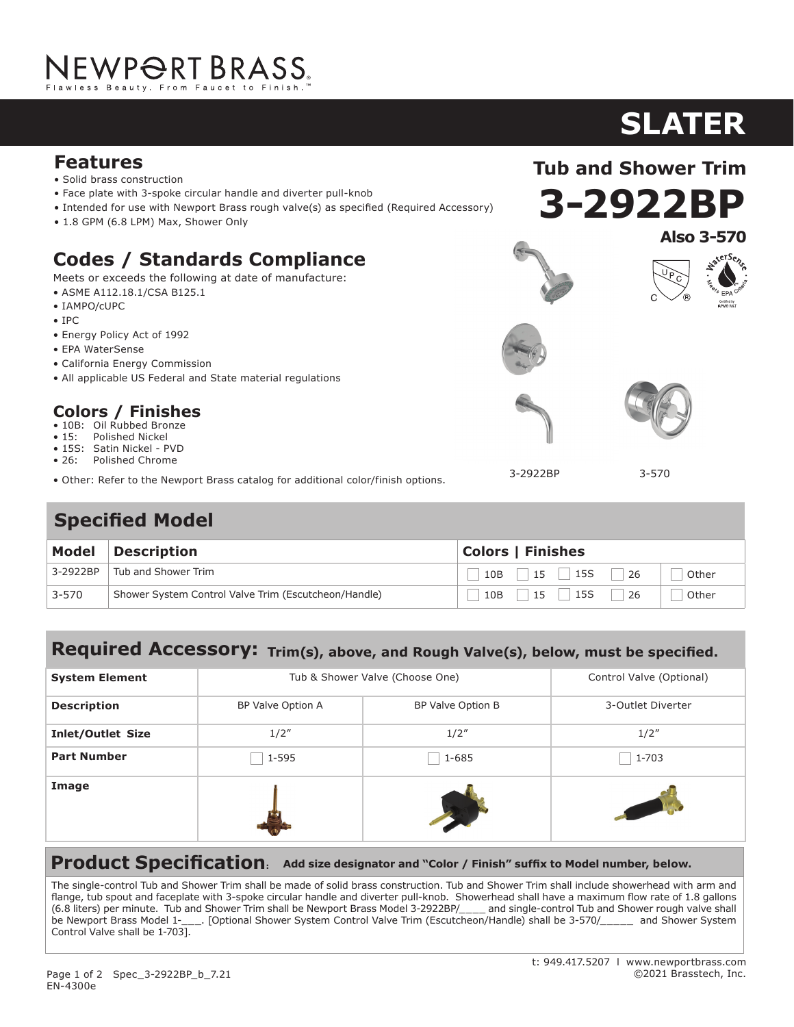# NEWPORT BRASS.

### **Features**

- Solid brass construction
- Face plate with 3-spoke circular handle and diverter pull-knob
- Intended for use with Newport Brass rough valve(s) as specified (Required Accessory)
- 1.8 GPM (6.8 LPM) Max, Shower Only

### **Codes / Standards Compliance**

Meets or exceeds the following at date of manufacture:

- ASME A112.18.1/CSA B125.1
- IAMPO/cUPC
- IPC
- Energy Policy Act of 1992
- EPA WaterSense
- California Energy Commission
- All applicable US Federal and State material regulations

#### **Colors / Finishes**

- 10B: Oil Rubbed Bronze
- 15: Polished Nickel
- 15S: Satin Nickel PVD • 26: Polished Chrome
- 
- Other: Refer to the Newport Brass catalog for additional color/finish options.

## **Specified Model**

| Model    | <b>Description</b>                                   | <b>Colors   Finishes</b>           |  |
|----------|------------------------------------------------------|------------------------------------|--|
| 3-2922BP | Tub and Shower Trim                                  | $10B$   15   15S  <br>-26<br>Other |  |
| 3-570    | Shower System Control Valve Trim (Escutcheon/Handle) | 15   15S<br>26<br>10B<br>Other     |  |

#### **Required Accessory: Trim(s), above, and Rough Valve(s), below, must be specified.**

| <b>System Element</b>    | Tub & Shower Valve (Choose One) |                   | Control Valve (Optional) |
|--------------------------|---------------------------------|-------------------|--------------------------|
| <b>Description</b>       | BP Valve Option A               | BP Valve Option B | 3-Outlet Diverter        |
| <b>Inlet/Outlet Size</b> | 1/2''                           | 1/2''             | 1/2''                    |
| <b>Part Number</b>       | 1-595                           | $1 - 685$         | 1-703                    |
| Image                    |                                 |                   |                          |

**Product Specification: Add size designator and "Color / Finish" suffix to Model number, below.**

The single-control Tub and Shower Trim shall be made of solid brass construction. Tub and Shower Trim shall include showerhead with arm and flange, tub spout and faceplate with 3-spoke circular handle and diverter pull-knob. Showerhead shall have a maximum flow rate of 1.8 gallons (6.8 liters) per minute. Tub and Shower Trim shall be Newport Brass Model 3-2922BP/\_\_\_\_ and single-control Tub and Shower rough valve shall be Newport Brass Model 1-\_\_\_. [Optional Shower System Control Valve Trim (Escutcheon/Handle) shall be 3-570/\_\_\_\_\_ and Shower System Control Valve shall be 1-703].

## **SLATER**

**Also 3-570**

sterSez

**3-2922BP**

**Tub and Shower Trim**







3-2922BP

3-570